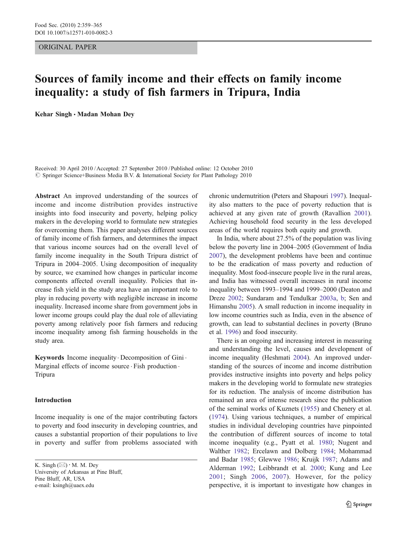#### ORIGINAL PAPER

# Sources of family income and their effects on family income inequality: a study of fish farmers in Tripura, India

Kehar Singh . Madan Mohan Dey

Received: 30 April 2010 /Accepted: 27 September 2010 / Published online: 12 October 2010 © Springer Science+Business Media B.V. & International Society for Plant Pathology 2010

Abstract An improved understanding of the sources of income and income distribution provides instructive insights into food insecurity and poverty, helping policy makers in the developing world to formulate new strategies for overcoming them. This paper analyses different sources of family income of fish farmers, and determines the impact that various income sources had on the overall level of family income inequality in the South Tripura district of Tripura in 2004–2005. Using decomposition of inequality by source, we examined how changes in particular income components affected overall inequality. Policies that increase fish yield in the study area have an important role to play in reducing poverty with negligible increase in income inequality. Increased income share from government jobs in lower income groups could play the dual role of alleviating poverty among relatively poor fish farmers and reducing income inequality among fish farming households in the study area.

Keywords Income inequality. Decomposition of Gini . Marginal effects of income source · Fish production · Tripura

#### Introduction

Income inequality is one of the major contributing factors to poverty and food insecurity in developing countries, and causes a substantial proportion of their populations to live in poverty and suffer from problems associated with

K. Singh  $(\boxtimes) \cdot M$ . M. Dey University of Arkansas at Pine Bluff, Pine Bluff, AR, USA e-mail: ksingh@uaex.edu

chronic undernutrition (Peters and Shapouri [1997](#page-6-0)). Inequality also matters to the pace of poverty reduction that is achieved at any given rate of growth (Ravallion [2001\)](#page-6-0). Achieving household food security in the less developed areas of the world requires both equity and growth.

In India, where about 27.5% of the population was living below the poverty line in 2004–2005 (Government of India [2007](#page-5-0)), the development problems have been and continue to be the eradication of mass poverty and reduction of inequality. Most food-insecure people live in the rural areas, and India has witnessed overall increases in rural income inequality between 1993–1994 and 1999–2000 (Deaton and Dreze [2002;](#page-5-0) Sundaram and Tendulkar [2003a](#page-6-0), [b;](#page-6-0) Sen and Himanshu [2005\)](#page-6-0). A small reduction in income inequality in low income countries such as India, even in the absence of growth, can lead to substantial declines in poverty (Bruno et al. [1996](#page-5-0)) and food insecurity.

There is an ongoing and increasing interest in measuring and understanding the level, causes and development of income inequality (Heshmati [2004](#page-5-0)). An improved understanding of the sources of income and income distribution provides instructive insights into poverty and helps policy makers in the developing world to formulate new strategies for its reduction. The analysis of income distribution has remained an area of intense research since the publication of the seminal works of Kuznets ([1955\)](#page-6-0) and Chenery et al. [\(1974](#page-5-0)). Using various techniques, a number of empirical studies in individual developing countries have pinpointed the contribution of different sources of income to total income inequality (e.g., Pyatt et al. [1980](#page-6-0); Nugent and Walther [1982](#page-6-0); Ercelawn and Dolberg [1984;](#page-5-0) Mohammad and Badar [1985;](#page-6-0) Glewwe [1986](#page-5-0); Kruijk [1987](#page-6-0); Adams and Alderman [1992;](#page-5-0) Leibbrandt et al. [2000;](#page-6-0) Kung and Lee [2001](#page-6-0); Singh [2006](#page-6-0), [2007\)](#page-6-0). However, for the policy perspective, it is important to investigate how changes in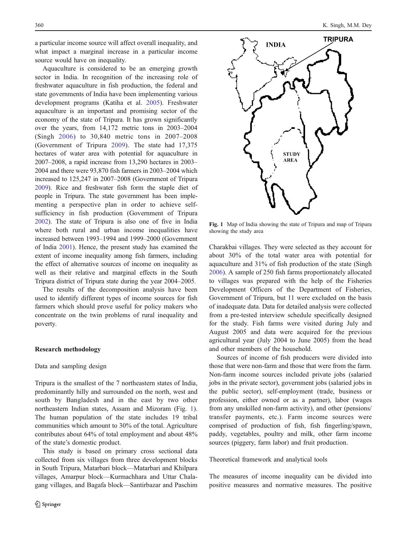a particular income source will affect overall inequality, and what impact a marginal increase in a particular income source would have on inequality.

Aquaculture is considered to be an emerging growth sector in India. In recognition of the increasing role of freshwater aquaculture in fish production, the federal and state governments of India have been implementing various development programs (Katiha et al. [2005\)](#page-6-0). Freshwater aquaculture is an important and promising sector of the economy of the state of Tripura. It has grown significantly over the years, from 14,172 metric tons in 2003–2004 (Singh [2006](#page-6-0)) to 30,840 metric tons in 2007–2008 (Government of Tripura [2009](#page-5-0)). The state had 17,375 hectares of water area with potential for aquaculture in 2007–2008, a rapid increase from 13,290 hectares in 2003– 2004 and there were 93,870 fish farmers in 2003–2004 which increased to 125,247 in 2007–2008 (Government of Tripura [2009\)](#page-5-0). Rice and freshwater fish form the staple diet of people in Tripura. The state government has been implementing a perspective plan in order to achieve selfsufficiency in fish production (Government of Tripura [2002\)](#page-5-0). The state of Tripura is also one of five in India where both rural and urban income inequalities have increased between 1993–1994 and 1999–2000 (Government of India [2001](#page-5-0)). Hence, the present study has examined the extent of income inequality among fish farmers, including the effect of alternative sources of income on inequality as well as their relative and marginal effects in the South Tripura district of Tripura state during the year 2004–2005.

The results of the decomposition analysis have been used to identify different types of income sources for fish farmers which should prove useful for policy makers who concentrate on the twin problems of rural inequality and poverty.

## Research methodology

### Data and sampling design

Tripura is the smallest of the 7 northeastern states of India, predominantly hilly and surrounded on the north, west and south by Bangladesh and in the east by two other northeastern Indian states, Assam and Mizoram (Fig. 1). The human population of the state includes 19 tribal communities which amount to 30% of the total. Agriculture contributes about 64% of total employment and about 48% of the state's domestic product.

This study is based on primary cross sectional data collected from six villages from three development blocks in South Tripura, Matarbari block—Matarbari and Khilpara villages, Amarpur block—Kurmachhara and Uttar Chalagang villages, and Bagafa block—Santirbazar and Paschim



Fig. 1 Map of India showing the state of Tripura and map of Tripura showing the study area

Charakbai villages. They were selected as they account for about 30% of the total water area with potential for aquaculture and 31% of fish production of the state (Singh [2006](#page-6-0)). A sample of 250 fish farms proportionately allocated to villages was prepared with the help of the Fisheries Development Officers of the Department of Fisheries, Government of Tripura, but 11 were excluded on the basis of inadequate data. Data for detailed analysis were collected from a pre-tested interview schedule specifically designed for the study. Fish farms were visited during July and August 2005 and data were acquired for the previous agricultural year (July 2004 to June 2005) from the head and other members of the household.

Sources of income of fish producers were divided into those that were non-farm and those that were from the farm. Non-farm income sources included private jobs (salaried jobs in the private sector), government jobs (salaried jobs in the public sector), self-employment (trade, business or profession, either owned or as a partner), labor (wages from any unskilled non-farm activity), and other (pensions/ transfer payments, etc.). Farm income sources were comprised of production of fish, fish fingerling/spawn, paddy, vegetables, poultry and milk, other farm income sources (piggery, farm labor) and fruit production.

Theoretical framework and analytical tools

The measures of income inequality can be divided into positive measures and normative measures. The positive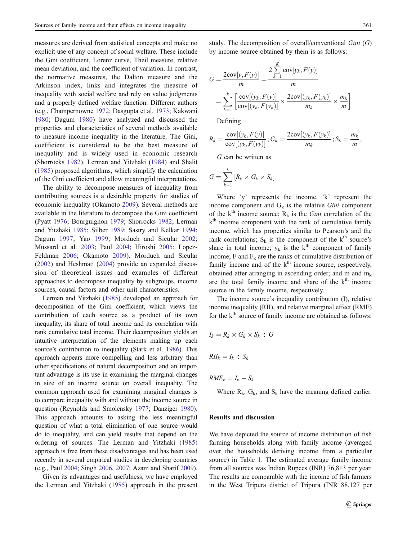measures are derived from statistical concepts and make no explicit use of any concept of social welfare. These include the Gini coefficient, Lorenz curve, Theil measure, relative mean deviation, and the coefficient of variation. In contrast, the normative measures, the Dalton measure and the Atkinson index, links and integrates the measure of inequality with social welfare and rely on value judgments and a properly defined welfare function. Different authors (e.g., Champernowne [1972;](#page-5-0) Dasgupta et al. [1973;](#page-5-0) Kakwani [1980](#page-6-0); Dagum [1980\)](#page-5-0) have analyzed and discussed the properties and characteristics of several methods available to measure income inequality in the literature. The Gini, coefficient is considered to be the best measure of inequality and is widely used in economic research (Shorrocks [1982](#page-6-0)). Lerman and Yitzhaki ([1984\)](#page-6-0) and Shalit [\(1985](#page-6-0)) proposed algorithms, which simplify the calculation of the Gini coefficient and allow meaningful interpretations.

The ability to decompose measures of inequality from contributing sources is a desirable property for studies of economic inequality (Okamoto [2009\)](#page-6-0). Several methods are available in the literature to decompose the Gini coefficient (Pyatt [1976](#page-6-0); Bourguignon [1979](#page-5-0); Shorrocks [1982;](#page-6-0) Lerman and Yitzhaki [1985](#page-6-0); Silber [1989](#page-6-0); Sastry and Kelkar [1994](#page-6-0); Dagum [1997](#page-5-0); Yao [1999;](#page-6-0) Morduch and Sicular [2002](#page-6-0); Mussard et al. [2003](#page-6-0); Paul [2004;](#page-6-0) Hiroshi [2005;](#page-5-0) Lopez-Feldman [2006](#page-6-0); Okamoto [2009](#page-6-0)). Morduch and Sicular [\(2002](#page-6-0)) and Heshmati ([2004\)](#page-5-0) provide an expanded discussion of theoretical issues and examples of different approaches to decompose inequality by subgroups, income sources, causal factors and other unit characteristics.

Lerman and Yitzhaki [\(1985\)](#page-6-0) developed an approach for decomposition of the Gini coefficient, which views the contribution of each source as a product of its own inequality, its share of total income and its correlation with rank cumulative total income. Their decomposition yields an intuitive interpretation of the elements making up each source's contribution to inequality (Stark et al. [1986](#page-6-0)). This approach appears more compelling and less arbitrary than other specifications of natural decomposition and an important advantage is its use in examining the marginal changes in size of an income source on overall inequality. The common approach used for examining marginal changes is to compare inequality with and without the income source in question (Reynolds and Smolensky [1977](#page-6-0); Danziger [1980\)](#page-5-0). This approach amounts to asking the less meaningful question of what a total elimination of one source would do to inequality, and can yield results that depend on the ordering of sources. The Lerman and Yitzhaki ([1985\)](#page-6-0) approach is free from these disadvantages and has been used recently in several empirical studies in developing countries (e.g., Paul [2004](#page-6-0); Singh [2006,](#page-6-0) [2007;](#page-6-0) Azam and Sharif [2009\)](#page-5-0).

Given its advantages and usefulness, we have employed the Lerman and Yitzhaki [\(1985](#page-6-0)) approach in the present study. The decomposition of overall/conventional Gini (G) by income source obtained by them is as follows:

$$
G = \frac{2\text{cov}[y, F(y)]}{m} = \frac{2\sum_{k=1}^{K} \text{cov}[y_k, F(y)]}{m}
$$

$$
= \sum_{k=1}^{K} \left[ \frac{\text{cov}[(y_k, F(y)]}{\text{cov}[(y_k, F(y_k)]} \times \frac{2\text{cov}[(y_k, F(y_k)]}{m_k} \times \frac{m_k}{m} \right]
$$

Defining

$$
R_k = \frac{\mathrm{cov}[(y_k, F(y)]}{\mathrm{cov}[(y_k, F(y_k)]}; G_k = \frac{2\mathrm{cov}[(y_k, F(y_k)]}{m_k}; S_k = \frac{m_k}{m},
$$

G can be written as

$$
G = \sum_{k=1}^{k} [R_k \times G_k \times S_k]
$$

Where 'y' represents the income, 'k' represent the income component and  $G_k$  is the relative *Gini* component of the k<sup>th</sup> income source;  $R_k$  is the *Gini* correlation of the  $k<sup>th</sup>$  income component with the rank of cumulative family income, which has properties similar to Pearson's and the rank correlations;  $S_k$  is the component of the  $k^{th}$  source's share in total income;  $y_k$  is the k<sup>th</sup> component of family income; F and  $F_k$  are the ranks of cumulative distribution of family income and of the  $k<sup>th</sup>$  income source, respectively, obtained after arranging in ascending order; and m and  $m_k$ are the total family income and share of the  $k<sup>th</sup>$  income source in the family income, respectively.

The income source's inequality contribution (I), relative income inequality (RII), and relative marginal effect (RME) for the  $k<sup>th</sup>$  source of family income are obtained as follows:

$$
I_k = R_k \times G_k \times S_k \div G
$$

$$
RII_k = I_k \div S_k
$$

 $RME_k = I_k - S_k$ 

Where  $R_k$ ,  $G_k$ , and  $S_k$  have the meaning defined earlier.

#### Results and discussion

We have depicted the source of income distribution of fish farming households along with family income (averaged over the households deriving income from a particular source) in Table [1](#page-3-0). The estimated average family income from all sources was Indian Rupees (INR) 76,813 per year. The results are comparable with the income of fish farmers in the West Tripura district of Tripura (INR 88,127 per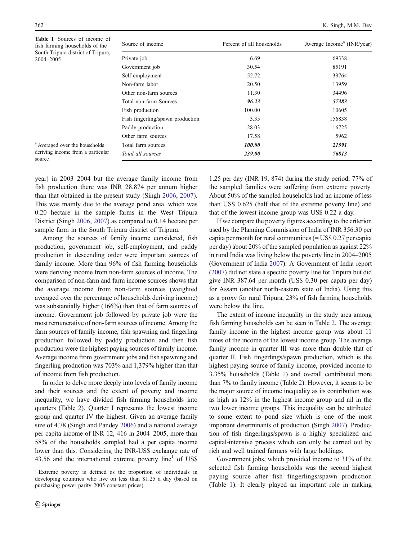<span id="page-3-0"></span>

| <b>Table 1</b> Sources of income of<br>fish farming households of the | Source of income                 | Percent of all households | Average Income <sup>a</sup> (INR/year) |
|-----------------------------------------------------------------------|----------------------------------|---------------------------|----------------------------------------|
| South Tripura district of Tripura,<br>2004–2005                       | Private job                      | 6.69                      | 69338                                  |
|                                                                       | Government job                   | 30.54                     | 85191                                  |
|                                                                       | Self employment                  | 52.72                     | 33764                                  |
|                                                                       | Non-farm labor                   | 20.50                     | 13959                                  |
|                                                                       | Other non-farm sources           | 11.30                     | 34496                                  |
|                                                                       | Total non-farm Sources           | 96.23                     | 57383                                  |
|                                                                       | Fish production                  | 100.00                    | 10605                                  |
|                                                                       | Fish fingerling/spawn production | 3.35                      | 156838                                 |
|                                                                       | Paddy production                 | 28.03                     | 16725                                  |
|                                                                       | Other farm sources               | 17.58                     | 5962                                   |
| <sup>a</sup> Averaged over the households                             | Total farm sources               | 100.00                    | 21591                                  |
| deriving income from a particular<br>source                           | Total all sources                | 239.00                    | 76813                                  |

year) in 2003–2004 but the average family income from fish production there was INR 28,874 per annum higher than that obtained in the present study (Singh [2006,](#page-6-0) [2007](#page-6-0)). This was mainly due to the average pond area, which was 0.20 hectare in the sample farms in the West Tripura District (Singh [2006,](#page-6-0) [2007](#page-6-0)) as compared to 0.14 hectare per sample farm in the South Tripura district of Tripura.

Among the sources of family income considered, fish production, government job, self-employment, and paddy production in descending order were important sources of family income. More than 96% of fish farming households were deriving income from non-farm sources of income. The comparison of non-farm and farm income sources shows that the average income from non-farm sources (weighted averaged over the percentage of households deriving income) was substantially higher (166%) than that of farm sources of income. Government job followed by private job were the most remunerative of non-farm sources of income. Among the farm sources of family income, fish spawning and fingerling production followed by paddy production and then fish production were the highest paying sources of family income. Average income from government jobs and fish spawning and fingerling production was 703% and 1,379% higher than that of income from fish production.

In order to delve more deeply into levels of family income and their sources and the extent of poverty and income inequality, we have divided fish farming households into quarters (Table [2](#page-4-0)). Quarter I represents the lowest income group and quarter IV the highest. Given an average family size of 4.78 (Singh and Pandey [2006\)](#page-6-0) and a national average per capita income of INR 12, 416 in 2004–2005, more than 58% of the households sampled had a per capita income lower than this. Considering the INR-US\$ exchange rate of 43.56 and the international extreme poverty  $\text{line}^1$  of US\$

1.25 per day (INR 19, 874) during the study period, 77% of the sampled families were suffering from extreme poverty. About 50% of the sampled households had an income of less than US\$ 0.625 (half that of the extreme poverty line) and that of the lowest income group was US\$ 0.22 a day.

If we compare the poverty figures according to the criterion used by the Planning Commission of India of INR 356.30 per capita per month for rural communities (= US\$ 0.27 per capita per day) about 20% of the sampled population as against 22% in rural India was living below the poverty line in 2004–2005 (Government of India [2007](#page-5-0)). A Government of India report [\(2007\)](#page-5-0) did not state a specific poverty line for Tripura but did give INR 387.64 per month (US\$ 0.30 per capita per day) for Assam (another north-eastern state of India). Using this as a proxy for rural Tripura, 23% of fish farming households were below the line.

The extent of income inequality in the study area among fish farming households can be seen in Table [2](#page-4-0). The average family income in the highest income group was about 11 times of the income of the lowest income group. The average family income in quarter III was more than double that of quarter II. Fish fingerlings/spawn production, which is the highest paying source of family income, provided income to 3.35% households (Table 1) and overall contributed more than 7% to family income (Table [2](#page-4-0)). However, it seems to be the major source of income inequality as its contribution was as high as 12% in the highest income group and nil in the two lower income groups. This inequality can be attributed to some extent to pond size which is one of the most important determinants of production (Singh [2007\)](#page-6-0). Production of fish fingerlings/spawn is a highly specialized and capital-intensive process which can only be carried out by rich and well trained farmers with large holdings.

Government jobs, which provided income to 31% of the selected fish farming households was the second highest paying source after fish fingerlings/spawn production (Table 1). It clearly played an important role in making

<sup>1</sup> Extreme poverty is defined as the proportion of individuals in developing countries who live on less than \$1.25 a day (based on purchasing power parity 2005 constant prices).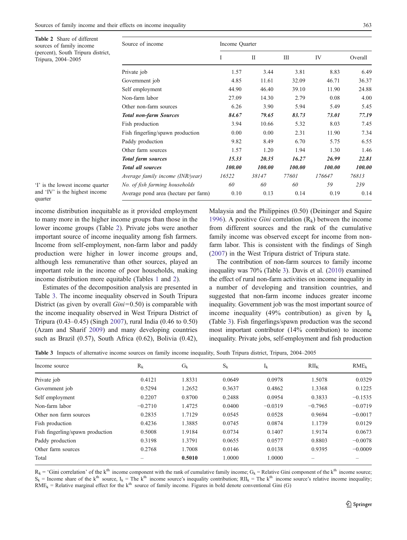quarter

<span id="page-4-0"></span>

| <b>Table 2</b> Share of different<br>sources of family income                 | Source of income                     | Income Quarter |        |        |        |         |
|-------------------------------------------------------------------------------|--------------------------------------|----------------|--------|--------|--------|---------|
| (percent), South Tripura district,<br>Tripura, 2004-2005                      |                                      |                | П      | Ш      | IV     | Overall |
|                                                                               | Private job                          | 1.57           | 3.44   | 3.81   | 8.83   | 6.49    |
|                                                                               | Government job                       | 4.85           | 11.61  | 32.09  | 46.71  | 36.37   |
|                                                                               | Self employment                      | 44.90          | 46.40  | 39.10  | 11.90  | 24.88   |
|                                                                               | Non-farm labor                       | 27.09          | 14.30  | 2.79   | 0.08   | 4.00    |
|                                                                               | Other non-farm sources               | 6.26           | 3.90   | 5.94   | 5.49   | 5.45    |
|                                                                               | <b>Total non-farm Sources</b>        | 84.67          | 79.65  | 83.73  | 73.01  | 77.19   |
|                                                                               | Fish production                      | 3.94           | 10.66  | 5.32   | 8.03   | 7.45    |
|                                                                               | Fish fingerling/spawn production     | 0.00           | 0.00   | 2.31   | 11.90  | 7.34    |
|                                                                               | Paddy production                     | 9.82           | 8.49   | 6.70   | 5.75   | 6.55    |
|                                                                               | Other farm sources                   | 1.57           | 1.20   | 1.94   | 1.30   | 1.46    |
|                                                                               | <b>Total farm sources</b>            | 15.33          | 20.35  | 16.27  | 26.99  | 22.81   |
|                                                                               | <b>Total all sources</b>             | 100.00         | 100.00 | 100.00 | 100.00 | 100.00  |
|                                                                               | Average family income (INR/year)     | 16522          | 38147  | 77601  | 176647 | 76813   |
| 'I' is the lowest income quarter<br>and 'IV' is the highest income<br>quarter | No. of fish farming households       | 60             | 60     | 60     | 59     | 239     |
|                                                                               | Average pond area (hectare per farm) | 0.10           | 0.13   | 0.14   | 0.19   | 0.14    |

income distribution inequitable as it provided employment to many more in the higher income groups than those in the lower income groups (Table 2). Private jobs were another important source of income inequality among fish farmers. Income from self-employment, non-farm labor and paddy production were higher in lower income groups and, although less remunerative than other sources, played an important role in the income of poor households, making income distribution more equitable (Tables [1](#page-3-0) and 2).

Estimates of the decomposition analysis are presented in Table 3. The income inequality observed in South Tripura District (as given by overall  $Gini=0.50$ ) is comparable with the income inequality observed in West Tripura District of Tripura (0.43–0.45) (Singh [2007](#page-6-0)), rural India (0.46 to 0.50) (Azam and Sharif [2009](#page-5-0)) and many developing countries such as Brazil (0.57), South Africa (0.62), Bolivia (0.42),

Malaysia and the Philippines (0.50) (Deininger and Squire [1996](#page-5-0)). A positive *Gini* correlation  $(R_k)$  between the income from different sources and the rank of the cumulative family income was observed except for income from nonfarm labor. This is consistent with the findings of Singh [\(2007](#page-6-0)) in the West Tripura district of Tripura state.

The contribution of non-farm sources to family income inequality was 70% (Table 3). Davis et al. [\(2010\)](#page-5-0) examined the effect of rural non-farm activities on income inequality in a number of developing and transition countries, and suggested that non-farm income induces greater income inequality. Government job was the most important source of income inequality (49% contribution) as given by  $I_k$ (Table 3). Fish fingerlings/spawn production was the second most important contributor (14% contribution) to income inequality. Private jobs, self-employment and fish production

Table 3 Impacts of alternative income sources on family income inequality, South Tripura district, Tripura, 2004–2005

| Income source                    | $R_{k}$   | $G_{k}$ | $S_k$  | $I_k$     | $RII_K$   | RME <sub>k</sub> |
|----------------------------------|-----------|---------|--------|-----------|-----------|------------------|
| Private job                      | 0.4121    | 1.8331  | 0.0649 | 0.0978    | 1.5078    | 0.0329           |
| Government job                   | 0.5294    | 1.2652  | 0.3637 | 0.4862    | 1.3368    | 0.1225           |
| Self employment                  | 0.2207    | 0.8700  | 0.2488 | 0.0954    | 0.3833    | $-0.1535$        |
| Non-farm labor                   | $-0.2710$ | 1.4725  | 0.0400 | $-0.0319$ | $-0.7965$ | $-0.0719$        |
| Other non farm sources           | 0.2835    | 1.7129  | 0.0545 | 0.0528    | 0.9694    | $-0.0017$        |
| Fish production                  | 0.4236    | 1.3885  | 0.0745 | 0.0874    | 1.1739    | 0.0129           |
| Fish fingerling/spawn production | 0.5008    | 1.9184  | 0.0734 | 0.1407    | 1.9174    | 0.0673           |
| Paddy production                 | 0.3198    | 1.3791  | 0.0655 | 0.0577    | 0.8803    | $-0.0078$        |
| Other farm sources               | 0.2768    | 1.7008  | 0.0146 | 0.0138    | 0.9395    | $-0.0009$        |
| Total                            |           | 0.5010  | 1.0000 | 1.0000    |           |                  |

 $R_k$  = 'Gini correlation' of the k<sup>th</sup> income component with the rank of cumulative family income;  $G_k$  = Relative Gini component of the k<sup>th</sup> income source;  $S_k$  = Income share of the k<sup>th</sup> source, I<sub>k</sub> = The k<sup>th</sup> income source's inequality contribution; RII<sub>k</sub> = The k<sup>th</sup> income source's relative income inequality;  $RME_k$  = Relative marginal effect for the k<sup>th</sup> source of family income. Figures in bold denote conventional Gini (G)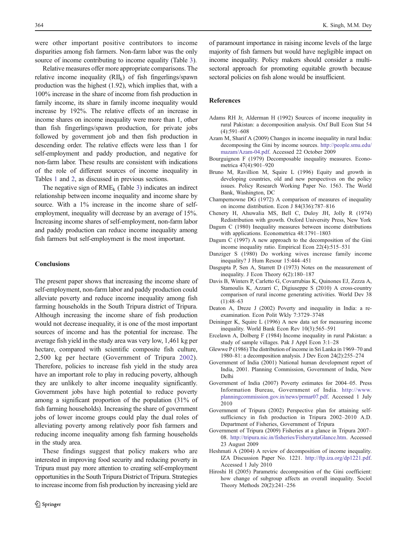<span id="page-5-0"></span>were other important positive contributors to income disparities among fish farmers. Non-farm labor was the only source of income contributing to income equality (Table [3\)](#page-4-0).

Relative measures offer more appropriate comparisons. The relative income inequality  $(RII_k)$  of fish fingerlings/spawn production was the highest (1.92), which implies that, with a 100% increase in the share of income from fish production in family income, its share in family income inequality would increase by 192%. The relative effects of an increase in income shares on income inequality were more than 1, other than fish fingerlings/spawn production, for private jobs followed by government job and then fish production in descending order. The relative effects were less than 1 for self-employment and paddy production, and negative for non-farm labor. These results are consistent with indications of the role of different sources of income inequality in Tables [1](#page-3-0) and [2](#page-4-0), as discussed in previous sections.

The negative sign of  $RME_k$  (Table [3](#page-4-0)) indicates an indirect relationship between income inequality and income share by source. With a 1% increase in the income share of selfemployment, inequality will decrease by an average of 15%. Increasing income shares of self-employment, non-farm labor and paddy production can reduce income inequality among fish farmers but self-employment is the most important.

### **Conclusions**

The present paper shows that increasing the income share of self-employment, non-farm labor and paddy production could alleviate poverty and reduce income inequality among fish farming households in the South Tripura district of Tripura. Although increasing the income share of fish production would not decrease inequality, it is one of the most important sources of income and has the potential for increase. The average fish yield in the study area was very low, 1,461 kg per hectare, compared with scientific composite fish culture, 2,500 kg per hectare (Government of Tripura 2002). Therefore, policies to increase fish yield in the study area have an important role to play in reducing poverty, although they are unlikely to alter income inequality significantly. Government jobs have high potential to reduce poverty among a significant proportion of the population (31% of fish farming households). Increasing the share of government jobs of lower income groups could play the dual roles of alleviating poverty among relatively poor fish farmers and reducing income inequality among fish farming households in the study area.

These findings suggest that policy makers who are interested in improving food security and reducing poverty in Tripura must pay more attention to creating self-employment opportunities in the South Tripura District of Tripura. Strategies to increase income from fish production by increasing yield are of paramount importance in raising income levels of the large majority of fish farmers but would have negligible impact on income inequality. Policy makers should consider a multisectoral approach for promoting equitable growth because sectoral policies on fish alone would be insufficient.

### References

- Adams RH Jr, Alderman H (1992) Sources of income inequality in rural Pakistan: a decomposition analysis. Oxf Bull Econ Stat 54 (4):591–608
- Azam M, Sharif A (2009) Changes in income inequality in rural India: decomposing the Gini by income sources. [http://people.smu.edu/](http://people.smu.edu/mazam/Azam-04.pdf) [mazam/Azam-04.pdf](http://people.smu.edu/mazam/Azam-04.pdf). Accessed 22 October 2009
- Bourguignon F (1979) Decomposable inequality measures. Econometrica 47(4):901–920
- Bruno M, Ravillion M, Squire L (1996) Equity and growth in developing countries, old and new perspectives on the policy issues. Policy Research Working Paper No. 1563. The World Bank, Washington, DC
- Champernowne DG (1972) A comparison of measures of inequality on income distribution. Econ J 84(336):787–816
- Chenery H, Ahuwalia MS, Bell C, Duloy JH, Jolly R (1974) Redistribution with growth. Oxford University Press, New York
- Dagum C (1980) Inequality measures between income distributions with applications. Econometrica 48:1791–1803
- Dagum C (1997) A new approach to the decomposition of the Gini income inequality ratio. Empirical Econ 22(4):515–531
- Danziger S (1980) Do working wives increase family income inequality? J Hum Resour 15:444–451
- Dasgupta P, Sen A, Starrett D (1973) Notes on the measurement of inequality. J Econ Theory 6(2):180–187
- Davis B, Winters P, Carletto G, Covarrubias K, Quinones EJ, Zezza A, Stamoulis K, Azzarri C, Digiuseppe S (2010) A cross-country comparison of rural income generating activities. World Dev 38  $(1):48-63$
- Deaton A, Dreze J (2002) Poverty and inequality in India: a reexamination. Econ Polit Wkly 7:3729–3748
- Deininger K, Squire L (1996) A new data set for measuring income inequality. World Bank Econ Rev 10(3):565–591
- Ercelawn A, Dolberg F (1984) Income inequality in rural Pakistan: a study of sample villages. Pak J Appl Econ 3:1–28
- Glewwe P (1986) The distribution of income in Sri Lanka in 1969–70 and 1980–81: a decomposition analysis. J Dev Econ 24(2):255–274
- Government of India (2001) National human development report of India, 2001. Planning Commission, Government of India, New Delhi
- Government of India (2007) Poverty estimates for 2004–05. Press Information Bureau, Government of India. [http://www.](http://www.planningcommission.gov.in/news/prmar07.pdf) [planningcommission.gov.in/news/prmar07.pdf.](http://www.planningcommission.gov.in/news/prmar07.pdf) Accessed 1 July 2010
- Government of Tripura (2002) Perspective plan for attaining selfsufficiency in fish production in Tripura 2002–2010 A.D. Department of Fisheries, Government of Tripura
- Government of Tripura (2009) Fisheries at a glance in Tripura 2007– 08. [http://tripura.nic.in/fisheries/FisheryataGlance.htm.](http://tripura.nic.in/fisheries/FisheryataGlance.htm) Accessed 23 August 2009
- Heshmati A (2004) A review of decomposition of income inequality. IZA Discussion Paper No. 1221. <http://ftp.iza.org/dp1221.pdf>. Accessed 1 July 2010
- Hiroshi H (2005) Parametric decomposition of the Gini coefficient: how change of subgroup affects an overall inequality. Sociol Theory Methods 20(2):241–256